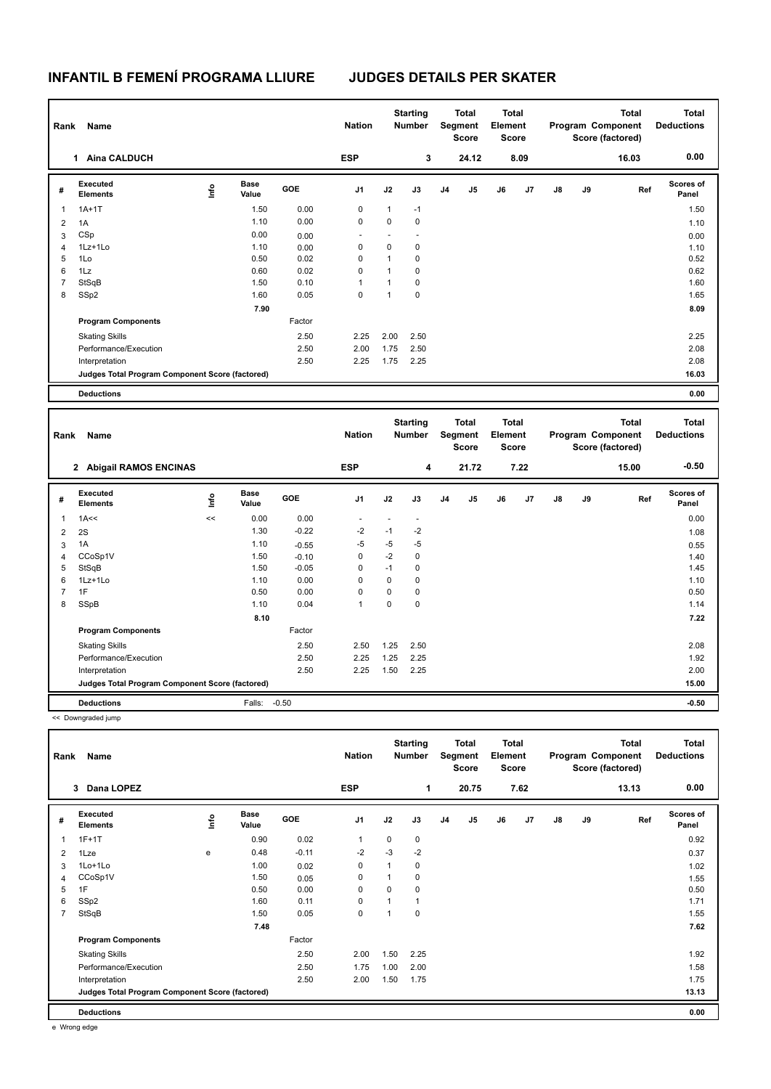## **INFANTIL B FEMENÍ PROGRAMA LLIURE JUDGES DETAILS PER SKATER**

| Rank                    | Name                                            |      |                      |                    | <b>Nation</b>            |              | <b>Starting</b><br><b>Number</b> |                | <b>Total</b><br>Segment<br><b>Score</b> | <b>Total</b><br>Element<br><b>Score</b> |      |    |    | <b>Total</b><br>Program Component<br>Score (factored) | <b>Total</b><br><b>Deductions</b> |
|-------------------------|-------------------------------------------------|------|----------------------|--------------------|--------------------------|--------------|----------------------------------|----------------|-----------------------------------------|-----------------------------------------|------|----|----|-------------------------------------------------------|-----------------------------------|
|                         | 1 Aina CALDUCH                                  |      |                      |                    | <b>ESP</b>               |              | 3                                |                | 24.12                                   |                                         | 8.09 |    |    | 16.03                                                 | 0.00                              |
| #                       | <b>Executed</b><br><b>Elements</b>              | lnfo | <b>Base</b><br>Value | GOE                | J1                       | J2           | J3                               | J <sub>4</sub> | J5                                      | J6                                      | J7   | J8 | J9 | Ref                                                   | Scores of<br>Panel                |
| 1                       | $1A+1T$                                         |      | 1.50                 | 0.00               | $\mathsf 0$              | $\mathbf{1}$ | $-1$                             |                |                                         |                                         |      |    |    |                                                       | 1.50                              |
| 2                       | 1A                                              |      | 1.10                 | 0.00               | $\mathbf 0$              | 0            | 0                                |                |                                         |                                         |      |    |    |                                                       | 1.10                              |
| 3                       | CSp                                             |      | 0.00                 | 0.00               |                          | ÷,           | ÷,                               |                |                                         |                                         |      |    |    |                                                       | 0.00                              |
| $\overline{4}$          | 1Lz+1Lo                                         |      | 1.10                 | 0.00               | $\mathbf 0$              | 0            | 0                                |                |                                         |                                         |      |    |    |                                                       | 1.10                              |
| 5                       | 1Lo                                             |      | 0.50                 | 0.02               | 0                        | $\mathbf{1}$ | 0                                |                |                                         |                                         |      |    |    |                                                       | 0.52                              |
| 6                       | 1Lz                                             |      | 0.60                 | 0.02               | $\mathbf 0$              | $\mathbf{1}$ | 0                                |                |                                         |                                         |      |    |    |                                                       | 0.62                              |
| $\overline{7}$          | StSqB                                           |      | 1.50                 | 0.10               | $\mathbf{1}$             | $\mathbf{1}$ | 0                                |                |                                         |                                         |      |    |    |                                                       | 1.60                              |
| 8                       | SSp2                                            |      | 1.60                 | 0.05               | $\Omega$                 | $\mathbf{1}$ | 0                                |                |                                         |                                         |      |    |    |                                                       | 1.65                              |
|                         |                                                 |      | 7.90                 |                    |                          |              |                                  |                |                                         |                                         |      |    |    |                                                       | 8.09                              |
|                         | <b>Program Components</b>                       |      |                      | Factor             |                          |              |                                  |                |                                         |                                         |      |    |    |                                                       |                                   |
|                         | <b>Skating Skills</b>                           |      |                      | 2.50               | 2.25                     | 2.00         | 2.50                             |                |                                         |                                         |      |    |    |                                                       | 2.25                              |
|                         | Performance/Execution                           |      |                      | 2.50               | 2.00                     | 1.75         | 2.50                             |                |                                         |                                         |      |    |    |                                                       | 2.08                              |
|                         | Interpretation                                  |      |                      | 2.50               | 2.25                     | 1.75         | 2.25                             |                |                                         |                                         |      |    |    |                                                       | 2.08                              |
|                         | Judges Total Program Component Score (factored) |      |                      |                    |                          |              |                                  |                |                                         |                                         |      |    |    |                                                       | 16.03                             |
|                         | <b>Deductions</b>                               |      |                      |                    |                          |              |                                  |                |                                         |                                         |      |    |    |                                                       | 0.00                              |
|                         |                                                 |      |                      |                    |                          |              |                                  |                |                                         |                                         |      |    |    |                                                       |                                   |
| Rank                    | Name                                            |      |                      |                    | <b>Nation</b>            |              | <b>Starting</b><br><b>Number</b> |                | <b>Total</b><br>Segment<br><b>Score</b> | <b>Total</b><br>Element<br><b>Score</b> |      |    |    | <b>Total</b><br>Program Component<br>Score (factored) | <b>Total</b><br><b>Deductions</b> |
|                         | 2 Abigail RAMOS ENCINAS                         |      |                      |                    |                          |              |                                  |                |                                         |                                         |      |    |    |                                                       |                                   |
|                         |                                                 |      |                      |                    | <b>ESP</b>               |              | $\overline{\mathbf{4}}$          |                | 21.72                                   |                                         | 7.22 |    |    | 15.00                                                 | $-0.50$                           |
| #                       | <b>Executed</b><br><b>Elements</b>              | Life | <b>Base</b><br>Value | GOE                | J1                       | J2           | J3                               | J <sub>4</sub> | J5                                      | J6                                      | J7   | J8 | J9 | Ref                                                   | <b>Scores of</b><br>Panel         |
| $\mathbf{1}$            | 1A<<                                            | <<   | 0.00                 | 0.00               | $\overline{\phantom{a}}$ | ÷,           | $\overline{a}$                   |                |                                         |                                         |      |    |    |                                                       | 0.00                              |
|                         |                                                 |      | 1.30                 | $-0.22$            | $-2$                     | $-1$         | $-2$                             |                |                                         |                                         |      |    |    |                                                       |                                   |
| $\overline{\mathbf{c}}$ | 2S<br>1A                                        |      | 1.10                 |                    | $-5$                     | $-5$         | $-5$                             |                |                                         |                                         |      |    |    |                                                       | 1.08                              |
| 3<br>$\overline{4}$     | CCoSp1V                                         |      | 1.50                 | $-0.55$<br>$-0.10$ | 0                        | $-2$         | 0                                |                |                                         |                                         |      |    |    |                                                       | 0.55<br>1.40                      |
| 5                       | StSqB                                           |      | 1.50                 | $-0.05$            | 0                        | $-1$         | 0                                |                |                                         |                                         |      |    |    |                                                       | 1.45                              |
| 6                       | 1Lz+1Lo                                         |      | 1.10                 | 0.00               | $\mathbf 0$              | $\mathsf 0$  | 0                                |                |                                         |                                         |      |    |    |                                                       | 1.10                              |
| $\overline{7}$          | 1F                                              |      | 0.50                 | 0.00               | 0                        | $\mathsf 0$  | 0                                |                |                                         |                                         |      |    |    |                                                       | 0.50                              |
| 8                       | SSpB                                            |      | 1.10                 | 0.04               | $\mathbf{1}$             | $\mathbf 0$  | 0                                |                |                                         |                                         |      |    |    |                                                       | 1.14                              |
|                         |                                                 |      | 8.10                 |                    |                          |              |                                  |                |                                         |                                         |      |    |    |                                                       | 7.22                              |
|                         | <b>Program Components</b>                       |      |                      | Factor             |                          |              |                                  |                |                                         |                                         |      |    |    |                                                       |                                   |
|                         |                                                 |      |                      |                    |                          |              |                                  |                |                                         |                                         |      |    |    |                                                       |                                   |
|                         | <b>Skating Skills</b>                           |      |                      | 2.50               | 2.50                     | 1.25         | 2.50                             |                |                                         |                                         |      |    |    |                                                       | 2.08                              |
|                         | Performance/Execution<br>Interpretation         |      |                      | 2.50<br>2.50       | 2.25<br>2.25             | 1.25<br>1.50 | 2.25<br>2.25                     |                |                                         |                                         |      |    |    |                                                       | 1.92<br>2.00                      |

**Deductions** Falls: -0.50 **-0.50**

<< Downgraded jump

| Rank           | Name                                            |      |                      |            | <b>Nation</b>  |      | <b>Starting</b><br><b>Number</b> |                | Total<br>Segment<br><b>Score</b> | <b>Total</b><br>Element<br><b>Score</b> |      |               |    | <b>Total</b><br>Program Component<br>Score (factored) | <b>Total</b><br><b>Deductions</b> |
|----------------|-------------------------------------------------|------|----------------------|------------|----------------|------|----------------------------------|----------------|----------------------------------|-----------------------------------------|------|---------------|----|-------------------------------------------------------|-----------------------------------|
|                | Dana LOPEZ<br>3                                 |      |                      |            | <b>ESP</b>     |      | 1                                |                | 20.75                            |                                         | 7.62 |               |    | 13.13                                                 | 0.00                              |
| #              | Executed<br><b>Elements</b>                     | lnfo | <b>Base</b><br>Value | <b>GOE</b> | J <sub>1</sub> | J2   | J3                               | J <sub>4</sub> | J5                               | J6                                      | J7   | $\mathsf{J}8$ | J9 | Ref                                                   | Scores of<br>Panel                |
|                | $1F+1T$                                         |      | 0.90                 | 0.02       | $\overline{1}$ | 0    | 0                                |                |                                  |                                         |      |               |    |                                                       | 0.92                              |
| $\overline{2}$ | 1Lze                                            | e    | 0.48                 | $-0.11$    | $-2$           | $-3$ | $-2$                             |                |                                  |                                         |      |               |    |                                                       | 0.37                              |
| 3              | 1Lo+1Lo                                         |      | 1.00                 | 0.02       | $\mathbf 0$    |      | 0                                |                |                                  |                                         |      |               |    |                                                       | 1.02                              |
| 4              | CCoSp1V                                         |      | 1.50                 | 0.05       | 0              |      | 0                                |                |                                  |                                         |      |               |    |                                                       | 1.55                              |
| 5              | 1F                                              |      | 0.50                 | 0.00       | 0              | 0    | 0                                |                |                                  |                                         |      |               |    |                                                       | 0.50                              |
| 6              | SSp2                                            |      | 1.60                 | 0.11       | 0              | 1    | 1                                |                |                                  |                                         |      |               |    |                                                       | 1.71                              |
| $\overline{7}$ | StSqB                                           |      | 1.50                 | 0.05       | $\mathbf 0$    | 1    | $\mathbf 0$                      |                |                                  |                                         |      |               |    |                                                       | 1.55                              |
|                |                                                 |      | 7.48                 |            |                |      |                                  |                |                                  |                                         |      |               |    |                                                       | 7.62                              |
|                | <b>Program Components</b>                       |      |                      | Factor     |                |      |                                  |                |                                  |                                         |      |               |    |                                                       |                                   |
|                | <b>Skating Skills</b>                           |      |                      | 2.50       | 2.00           | 1.50 | 2.25                             |                |                                  |                                         |      |               |    |                                                       | 1.92                              |
|                | Performance/Execution                           |      |                      | 2.50       | 1.75           | 1.00 | 2.00                             |                |                                  |                                         |      |               |    |                                                       | 1.58                              |
|                | Interpretation                                  |      |                      | 2.50       | 2.00           | 1.50 | 1.75                             |                |                                  |                                         |      |               |    |                                                       | 1.75                              |
|                | Judges Total Program Component Score (factored) |      |                      |            |                |      |                                  |                |                                  |                                         |      |               |    |                                                       | 13.13                             |
|                | <b>Deductions</b>                               |      |                      |            |                |      |                                  |                |                                  |                                         |      |               |    |                                                       | 0.00                              |

e Wrong edge